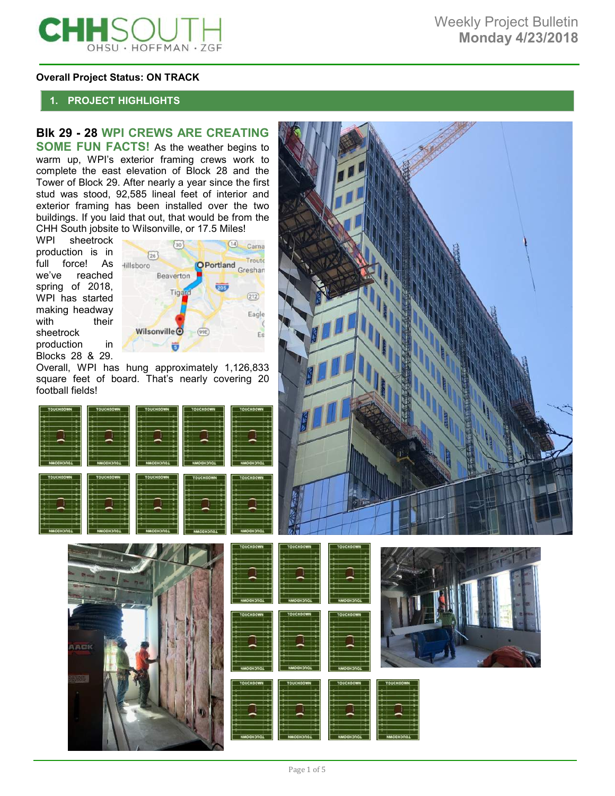

#### **Overall Project Status: ON TRACK**

# **1. PROJECT HIGHLIGHTS**

# **Blk 29 - 28 WPI CREWS ARE CREATING**

**SOME FUN FACTS!** As the weather begins to warm up, WPI's exterior framing crews work to complete the east elevation of Block 28 and the Tower of Block 29. After nearly a year since the first stud was stood, 92,585 lineal feet of interior and exterior framing has been installed over the two buildings. If you laid that out, that would be from the CHH South jobsite to Wilsonville, or 17.5 Miles!<br>WPI sheetrock

sheetrock production is in full force! As we've reached spring of 2018, WPI has started making headway with their sheetrock production in Blocks 28 & 29.



Overall, WPI has hung approximately 1,126,833 square feet of board. That's nearly covering 20 football fields!











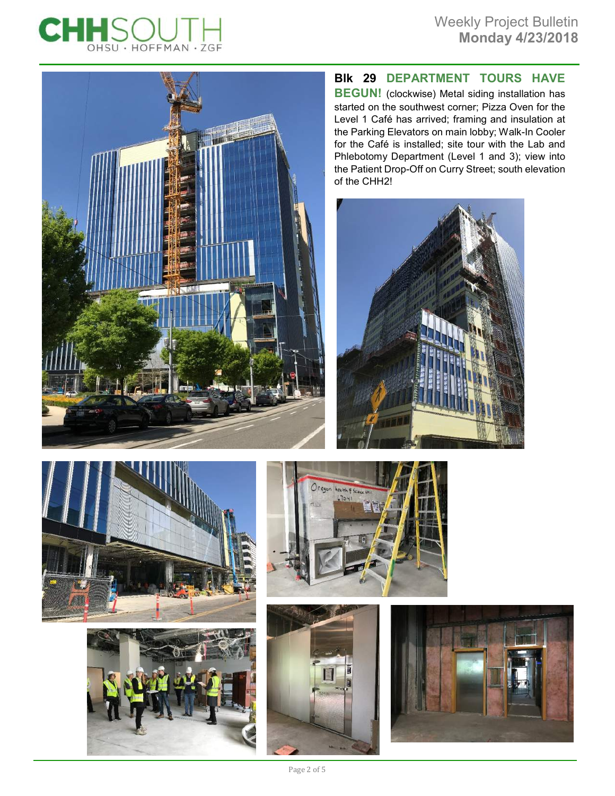



# **Blk 29 DEPARTMENT TOURS HAVE**

**BEGUN!** (clockwise) Metal siding installation has started on the southwest corner; Pizza Oven for the Level 1 Café has arrived; framing and insulation at the Parking Elevators on main lobby; Walk-In Cooler for the Café is installed; site tour with the Lab and Phlebotomy Department (Level 1 and 3); view into the Patient Drop-Off on Curry Street; south elevation of the CHH2!











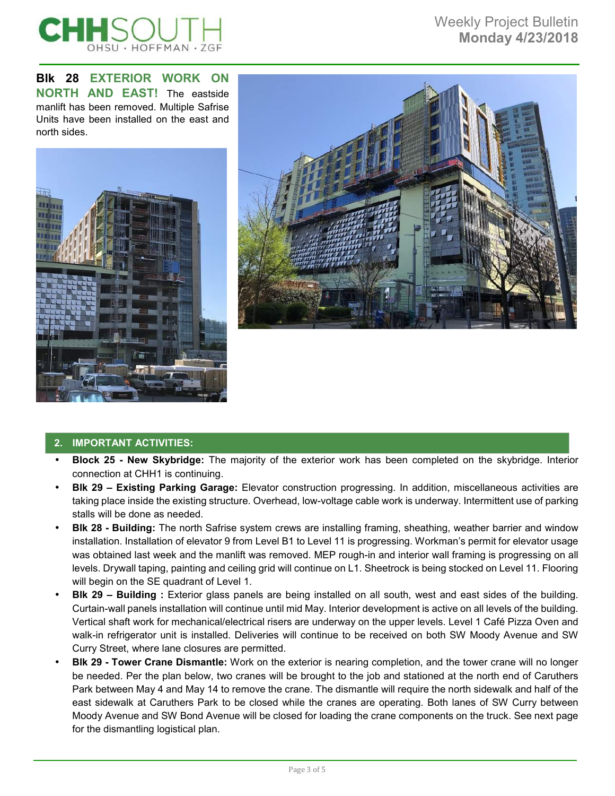

**Blk 28 EXTERIOR WORK ON NORTH AND EAST!** The eastside manlift has been removed. Multiple Safrise Units have been installed on the east and north sides.





# **2. IMPORTANT ACTIVITIES:**

- **Block 25 New Skybridge:** The majority of the exterior work has been completed on the skybridge. Interior connection at CHH1 is continuing.
- **Blk 29 Existing Parking Garage:** Elevator construction progressing. In addition, miscellaneous activities are taking place inside the existing structure. Overhead, low-voltage cable work is underway. Intermittent use of parking stalls will be done as needed.
- **Blk 28 Building:** The north Safrise system crews are installing framing, sheathing, weather barrier and window installation. Installation of elevator 9 from Level B1 to Level 11 is progressing. Workman's permit for elevator usage was obtained last week and the manlift was removed. MEP rough-in and interior wall framing is progressing on all levels. Drywall taping, painting and ceiling grid will continue on L1. Sheetrock is being stocked on Level 11. Flooring will begin on the SE quadrant of Level 1.
- **Blk 29 Building :** Exterior glass panels are being installed on all south, west and east sides of the building. Curtain-wall panels installation will continue until mid May. Interior development is active on all levels of the building. Vertical shaft work for mechanical/electrical risers are underway on the upper levels. Level 1 Café Pizza Oven and walk-in refrigerator unit is installed. Deliveries will continue to be received on both SW Moody Avenue and SW Curry Street, where lane closures are permitted.
- **Blk 29 Tower Crane Dismantle:** Work on the exterior is nearing completion, and the tower crane will no longer be needed. Per the plan below, two cranes will be brought to the job and stationed at the north end of Caruthers Park between May 4 and May 14 to remove the crane. The dismantle will require the north sidewalk and half of the east sidewalk at Caruthers Park to be closed while the cranes are operating. Both lanes of SW Curry between Moody Avenue and SW Bond Avenue will be closed for loading the crane components on the truck. See next page for the dismantling logistical plan.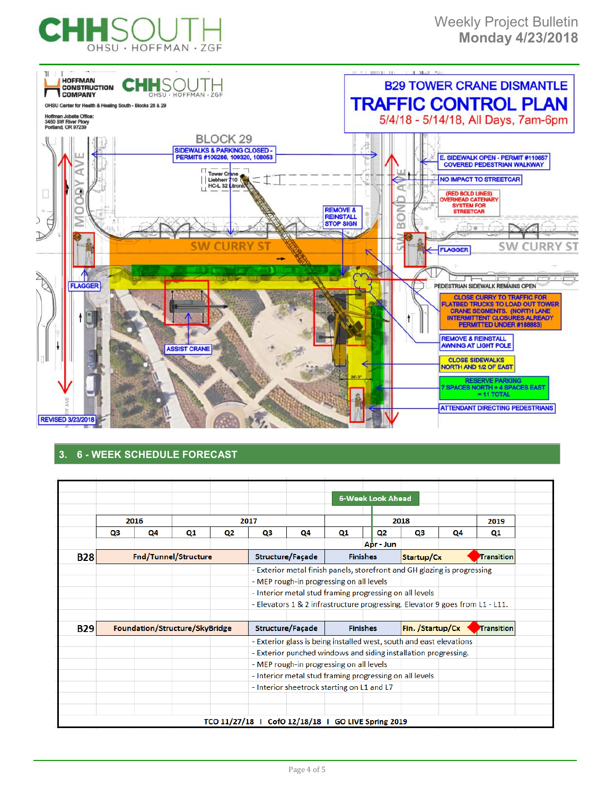



# **3. 6 - WEEK SCHEDULE FORECAST**

|            |                                |    |      |                                     |                                                                          |    | 6-Week Look Ahead                                                            |           |            |    |      |
|------------|--------------------------------|----|------|-------------------------------------|--------------------------------------------------------------------------|----|------------------------------------------------------------------------------|-----------|------------|----|------|
|            | 2016                           |    | 2017 |                                     |                                                                          |    |                                                                              |           | 2018       |    | 2019 |
|            | Q3                             | Q4 | Q1   | Q2                                  | Q3                                                                       | Q4 | Q1                                                                           | Q2        | Q3         | Q4 | Q1   |
|            |                                |    |      |                                     |                                                                          |    |                                                                              | Apr - Jun |            |    |      |
| <b>B28</b> | Fnd/Tunnel/Structure           |    |      | Structure/Façade<br><b>Finishes</b> |                                                                          |    | Startup/Cx                                                                   |           | Transition |    |      |
|            |                                |    |      |                                     | - Exterior metal finish panels, storefront and GH glazing is progressing |    |                                                                              |           |            |    |      |
|            |                                |    |      |                                     | - MEP rough-in progressing on all levels                                 |    |                                                                              |           |            |    |      |
|            |                                |    |      |                                     | - Interior metal stud framing progressing on all levels                  |    |                                                                              |           |            |    |      |
|            |                                |    |      |                                     |                                                                          |    | - Elevators 1 & 2 infrastructure progressing. Elevator 9 goes from L1 - L11. |           |            |    |      |
|            |                                |    |      |                                     |                                                                          |    |                                                                              |           |            |    |      |
| B29        | Foundation/Structure/SkyBridge |    |      | Structure/Façade<br><b>Finishes</b> |                                                                          |    | Fin. /Startup/Cx                                                             |           | Transition |    |      |
|            |                                |    |      |                                     |                                                                          |    | - Exterior glass is being installed west, south and east elevations          |           |            |    |      |
|            |                                |    |      |                                     |                                                                          |    | - Exterior punched windows and siding installation progressing.              |           |            |    |      |
|            |                                |    |      |                                     |                                                                          |    | - MEP rough-in progressing on all levels                                     |           |            |    |      |
|            |                                |    |      |                                     |                                                                          |    | - Interior metal stud framing progressing on all levels                      |           |            |    |      |
|            |                                |    |      |                                     |                                                                          |    | - Interior sheetrock starting on L1 and L7                                   |           |            |    |      |
|            |                                |    |      |                                     |                                                                          |    |                                                                              |           |            |    |      |
|            |                                |    |      |                                     |                                                                          |    |                                                                              |           |            |    |      |